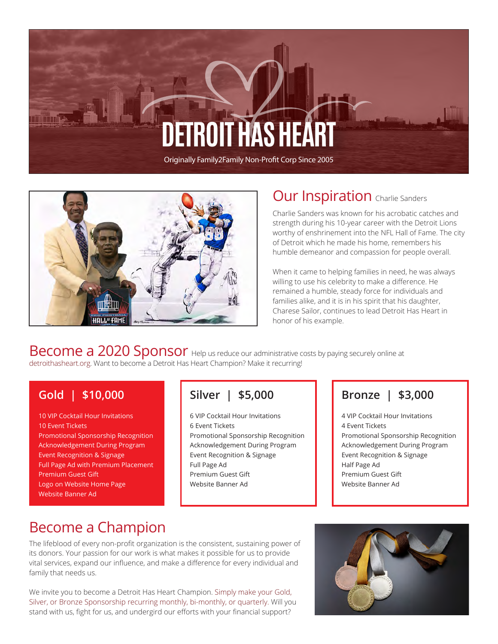# **FTROIT HAS HE**

Originally Family2Family Non-Profit Corp Since 2005



#### **Our Inspiration** Charlie Sanders

Charlie Sanders was known for his acrobatic catches and strength during his 10-year career with the Detroit Lions worthy of enshrinement into the NFL Hall of Fame. The city of Detroit which he made his home, remembers his humble demeanor and compassion for people overall.

When it came to helping families in need, he was always willing to use his celebrity to make a difference. He remained a humble, steady force for individuals and families alike, and it is in his spirit that his daughter, Charese Sailor, continues to lead Detroit Has Heart in honor of his example.

Become a 2020 Sponsor Help us reduce our administrative costs by paying securely online at detroithasheart.org. Want to become a Detroit Has Heart Champion? Make it recurring!

#### **Gold | \$10,000**

10 VIP Cocktail Hour Invitations 10 Event Tickets Promotional Sponsorship Recognition Acknowledgement During Program Event Recognition & Signage Full Page Ad with Premium Placement Premium Guest Gift Logo on Website Home Page Website Banner Ad

#### **Silver | \$5,000**

6 VIP Cocktail Hour Invitations 6 Event Tickets Promotional Sponsorship Recognition Acknowledgement During Program Event Recognition & Signage Full Page Ad Premium Guest Gift Website Banner Ad

#### **Bronze | \$3,000**

4 VIP Cocktail Hour Invitations 4 Event Tickets Promotional Sponsorship Recognition Acknowledgement During Program Event Recognition & Signage Half Page Ad Premium Guest Gift Website Banner Ad

## Become a Champion

The lifeblood of every non-profit organization is the consistent, sustaining power of its donors. Your passion for our work is what makes it possible for us to provide vital services, expand our influence, and make a difference for every individual and family that needs us.

We invite you to become a Detroit Has Heart Champion. Simply make your Gold, Silver, or Bronze Sponsorship recurring monthly, bi-monthly, or quarterly. Will you stand with us, fight for us, and undergird our efforts with your financial support?